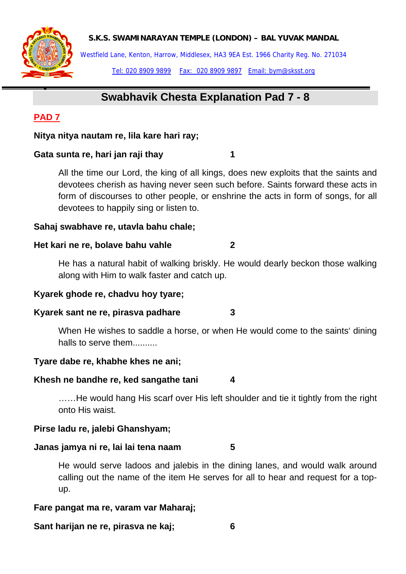

Westfield Lane, Kenton, Harrow, Middlesex, HA3 9EA Est. 1966 Charity Reg. No. 271034 Tel: 020 8909 9899 Fax: 020 8909 9897 Email: bym@sksst.org

# **Swabhavik Chesta Explanation Pad 7 - 8**

## **PAD 7**

•

**Nitya nitya nautam re, lila kare hari ray;** 

### **Gata sunta re, hari jan raji thay 1**

All the time our Lord, the king of all kings, does new exploits that the saints and devotees cherish as having never seen such before. Saints forward these acts in form of discourses to other people, or enshrine the acts in form of songs, for all devotees to happily sing or listen to.

### **Sahaj swabhave re, utavla bahu chale;**

### **Het kari ne re, bolave bahu vahle 2**

He has a natural habit of walking briskly. He would dearly beckon those walking along with Him to walk faster and catch up.

### **Kyarek ghode re, chadvu hoy tyare;**

### **Kyarek sant ne re, pirasva padhare 3**

When He wishes to saddle a horse, or when He would come to the saints' dining halls to serve them.

### **Tyare dabe re, khabhe khes ne ani;**

### **Khesh ne bandhe re, ked sangathe tani 4**

……He would hang His scarf over His left shoulder and tie it tightly from the right onto His waist.

### **Pirse ladu re, jalebi Ghanshyam;**

### **Janas jamya ni re, lai lai tena naam 5**

He would serve ladoos and jalebis in the dining lanes, and would walk around calling out the name of the item He serves for all to hear and request for a topup.

### **Fare pangat ma re, varam var Maharaj;**

**Sant harijan ne re, pirasva ne kaj; 6**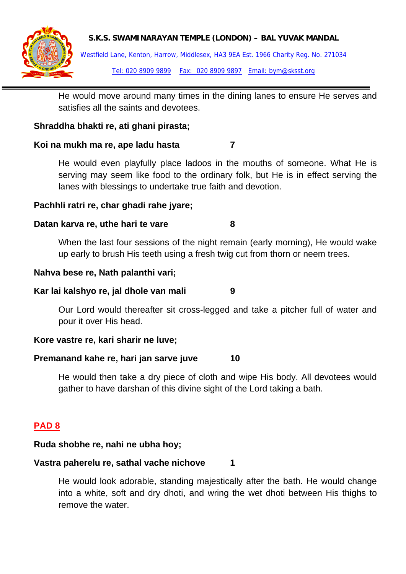

Westfield Lane, Kenton, Harrow, Middlesex, HA3 9EA Est. 1966 Charity Reg. No. 271034 Tel: 020 8909 9899 Fax: 020 8909 9897 Email: bym@sksst.org

He would move around many times in the dining lanes to ensure He serves and satisfies all the saints and devotees.

### **Shraddha bhakti re, ati ghani pirasta;**

### **Koi na mukh ma re, ape ladu hasta 7**

He would even playfully place ladoos in the mouths of someone. What He is serving may seem like food to the ordinary folk, but He is in effect serving the lanes with blessings to undertake true faith and devotion.

### **Pachhli ratri re, char ghadi rahe jyare;**

### **Datan karva re, uthe hari te vare 8**

When the last four sessions of the night remain (early morning), He would wake up early to brush His teeth using a fresh twig cut from thorn or neem trees.

### **Nahva bese re, Nath palanthi vari;**

### **Kar lai kalshyo re, jal dhole van mali 9**

Our Lord would thereafter sit cross-legged and take a pitcher full of water and pour it over His head.

### **Kore vastre re, kari sharir ne luve;**

### **Premanand kahe re, hari jan sarve juve 10**

He would then take a dry piece of cloth and wipe His body. All devotees would gather to have darshan of this divine sight of the Lord taking a bath.

## **PAD 8**

### **Ruda shobhe re, nahi ne ubha hoy;**

### **Vastra paherelu re, sathal vache nichove 1**

He would look adorable, standing majestically after the bath. He would change into a white, soft and dry dhoti, and wring the wet dhoti between His thighs to remove the water.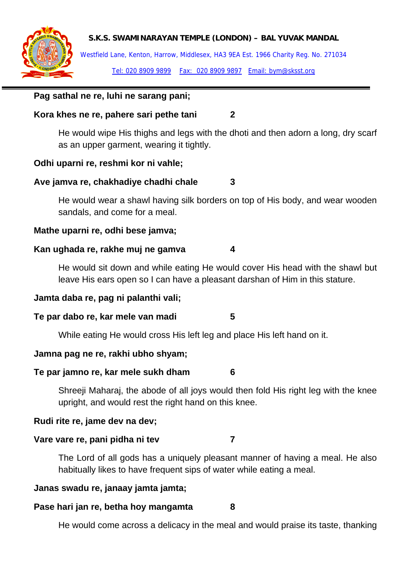

Westfield Lane, Kenton, Harrow, Middlesex, HA3 9EA Est. 1966 Charity Reg. No. 271034 Tel: 020 8909 9899 Fax: 020 8909 9897 Email: bym@sksst.org

### **Pag sathal ne re, luhi ne sarang pani;**

### **Kora khes ne re, pahere sari pethe tani 2**

He would wipe His thighs and legs with the dhoti and then adorn a long, dry scarf as an upper garment, wearing it tightly.

#### **Odhi uparni re, reshmi kor ni vahle;**

### **Ave jamva re, chakhadiye chadhi chale 3**

He would wear a shawl having silk borders on top of His body, and wear wooden sandals, and come for a meal.

#### **Mathe uparni re, odhi bese jamva;**

#### **Kan ughada re, rakhe muj ne gamva 4**

He would sit down and while eating He would cover His head with the shawl but leave His ears open so I can have a pleasant darshan of Him in this stature.

#### **Jamta daba re, pag ni palanthi vali;**

#### **Te par dabo re, kar mele van madi 5**

While eating He would cross His left leg and place His left hand on it.

#### **Jamna pag ne re, rakhi ubho shyam;**

#### **Te par jamno re, kar mele sukh dham 6**

Shreeji Maharaj, the abode of all joys would then fold His right leg with the knee upright, and would rest the right hand on this knee.

#### **Rudi rite re, jame dev na dev;**

#### **Vare vare re, pani pidha ni tev 7**

The Lord of all gods has a uniquely pleasant manner of having a meal. He also habitually likes to have frequent sips of water while eating a meal.

#### **Janas swadu re, janaay jamta jamta;**

### **Pase hari jan re, betha hoy mangamta 8**

He would come across a delicacy in the meal and would praise its taste, thanking